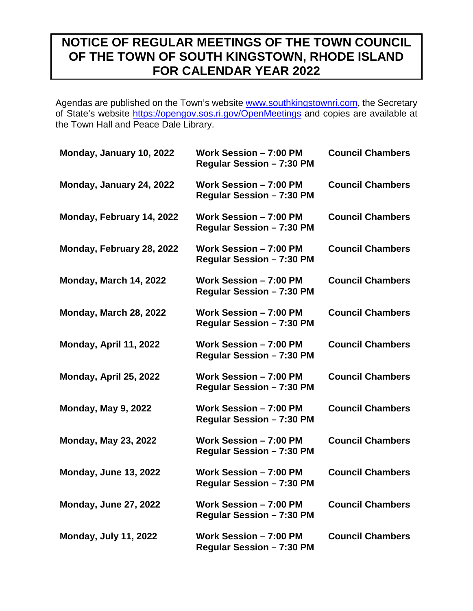## **NOTICE OF REGULAR MEETINGS OF THE TOWN COUNCIL OF THE TOWN OF SOUTH KINGSTOWN, RHODE ISLAND FOR CALENDAR YEAR 2022**

Agendas are published on the Town's website [www.southkingstownri.com,](http://www.southkingstownri.com/) the Secretary of State's website<https://opengov.sos.ri.gov/OpenMeetings>and copies are available at the Town Hall and Peace Dale Library.

| Monday, January 10, 2022     | Work Session - 7:00 PM<br>Regular Session - 7:30 PM | <b>Council Chambers</b> |
|------------------------------|-----------------------------------------------------|-------------------------|
| Monday, January 24, 2022     | Work Session - 7:00 PM<br>Regular Session - 7:30 PM | <b>Council Chambers</b> |
| Monday, February 14, 2022    | Work Session - 7:00 PM<br>Regular Session - 7:30 PM | <b>Council Chambers</b> |
| Monday, February 28, 2022    | Work Session - 7:00 PM<br>Regular Session - 7:30 PM | <b>Council Chambers</b> |
| Monday, March 14, 2022       | Work Session - 7:00 PM<br>Regular Session - 7:30 PM | <b>Council Chambers</b> |
| Monday, March 28, 2022       | Work Session - 7:00 PM<br>Regular Session - 7:30 PM | <b>Council Chambers</b> |
| Monday, April 11, 2022       | Work Session - 7:00 PM<br>Regular Session - 7:30 PM | <b>Council Chambers</b> |
| Monday, April 25, 2022       | Work Session - 7:00 PM<br>Regular Session - 7:30 PM | <b>Council Chambers</b> |
| <b>Monday, May 9, 2022</b>   | Work Session - 7:00 PM<br>Regular Session - 7:30 PM | <b>Council Chambers</b> |
| <b>Monday, May 23, 2022</b>  | Work Session - 7:00 PM<br>Regular Session - 7:30 PM | <b>Council Chambers</b> |
| <b>Monday, June 13, 2022</b> | Work Session - 7:00 PM<br>Regular Session - 7:30 PM | <b>Council Chambers</b> |
| <b>Monday, June 27, 2022</b> | Work Session - 7:00 PM<br>Regular Session - 7:30 PM | <b>Council Chambers</b> |
| <b>Monday, July 11, 2022</b> | Work Session - 7:00 PM<br>Regular Session - 7:30 PM | <b>Council Chambers</b> |